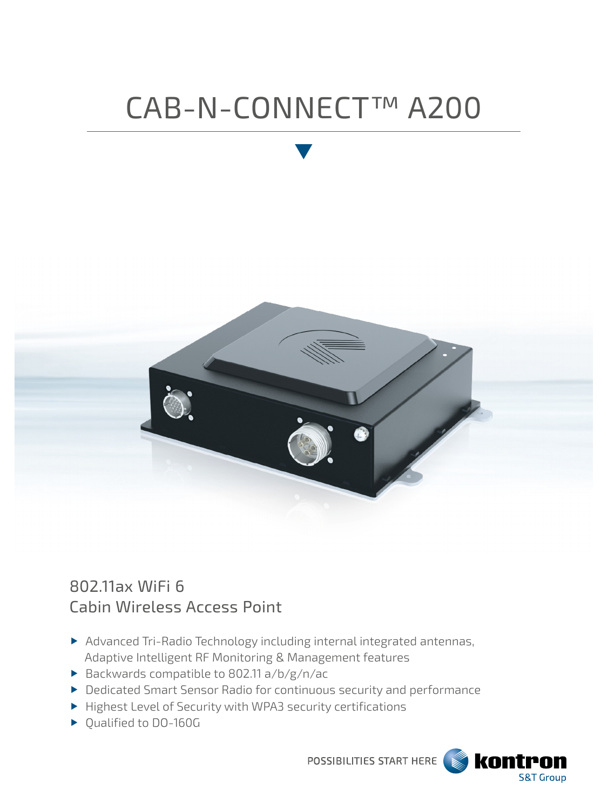# CAB-N-CONNECT™ A200



# 802.11ax WiFi 6 Cabin Wireless Access Point

- Advanced Tri-Radio Technology including internal integrated antennas, Adaptive Intelligent RF Monitoring & Management features
- Backwards compatible to 802.11 a/b/g/n/ac
- Dedicated Smart Sensor Radio for continuous security and performance
- Highest Level of Security with WPA3 security certifications
- ▶ Qualified to DO-160G

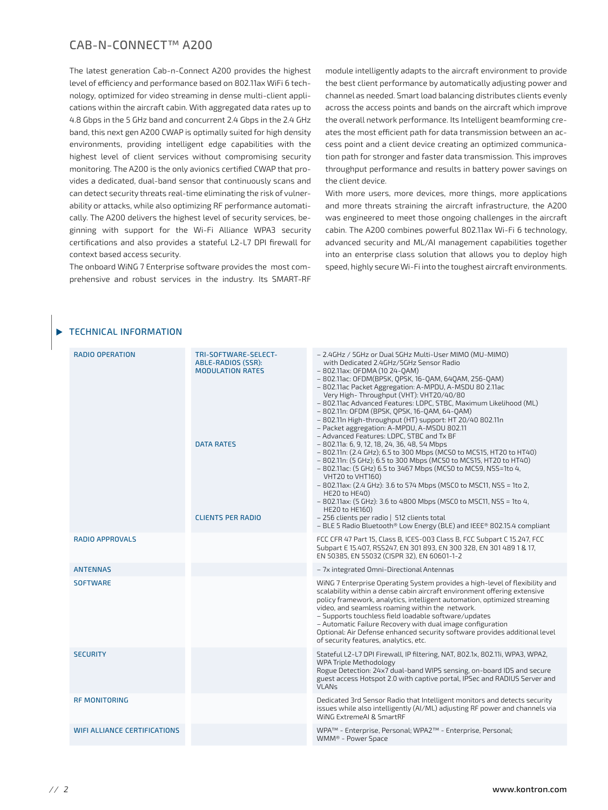# CAB-N-CONNECT™ A200

The latest generation Cab-n-Connect A200 provides the highest level of efficiency and performance based on 802.11ax WiFi 6 technology, optimized for video streaming in dense multi-client applications within the aircraft cabin. With aggregated data rates up to 4.8 Gbps in the 5 GHz band and concurrent 2.4 Gbps in the 2.4 GHz band, this next gen A200 CWAP is optimally suited for high density environments, providing intelligent edge capabilities with the highest level of client services without compromising security monitoring. The A200 is the only avionics certified CWAP that provides a dedicated, dual-band sensor that continuously scans and can detect security threats real-time eliminating the risk of vulnerability or attacks, while also optimizing RF performance automatically. The A200 delivers the highest level of security services, beginning with support for the Wi-Fi Alliance WPA3 security certifications and also provides a stateful L2-L7 DPI firewall for context based access security.

The onboard WiNG 7 Enterprise software provides the most comprehensive and robust services in the industry. Its SMART-RF

module intelligently adapts to the aircraft environment to provide the best client performance by automatically adjusting power and channel as needed. Smart load balancing distributes clients evenly across the access points and bands on the aircraft which improve the overall network performance. Its Intelligent beamforming creates the most efficient path for data transmission between an access point and a client device creating an optimized communication path for stronger and faster data transmission. This improves throughput performance and results in battery power savings on the client device.

With more users, more devices, more things, more applications and more threats straining the aircraft infrastructure, the A200 was engineered to meet those ongoing challenges in the aircraft cabin. The A200 combines powerful 802.11ax Wi-Fi 6 technology, advanced security and ML/AI management capabilities together into an enterprise class solution that allows you to deploy high speed, highly secure Wi-Fi into the toughest aircraft environments.

| <b>RADIO OPERATION</b>              | TRI-SOFTWARE-SELECT-<br>ABLE-RADIOS (SSR):<br><b>MODULATION RATES</b><br><b>DATA RATES</b><br><b>CLIENTS PER RADIO</b> | - 2.4GHz / 5GHz or Dual 5GHz Multi-User MIMO (MU-MIMO)<br>with Dedicated 2.4GHz/5GHz Sensor Radio<br>- 802.11ax: OFDMA (10 24-0AM)<br>- 802.11ac: OFDM(BPSK, QPSK, 16-QAM, 64QAM, 256-QAM)<br>- 802.11ac Packet Aggregation: A-MPDU, A-MSDU 80 2.11ac<br>Very High-Throughput (VHT): VHT20/40/80<br>- 802.11ac Advanced Features: LDPC, STBC, Maximum Likelihood (ML)<br>- 802.11n: OFDM (BPSK, QPSK, 16-QAM, 64-QAM)<br>- 802.11n High-throughput (HT) support: HT 20/40 802.11n<br>- Packet aggregation: A-MPDU, A-MSDU 802.11<br>- Advanced Features: LDPC, STBC and Tx BF<br>$-802.11a: 6, 9, 12, 18, 24, 36, 48, 54 Mbps$<br>- 802.11n: (2.4 GHz); 6.5 to 300 Mbps (MCS0 to MCS15, HT20 to HT40)<br>- 802.11n: (5 GHz); 6.5 to 300 Mbps (MCS0 to MCS15, HT20 to HT40)<br>- 802.11ac: (5 GHz) 6.5 to 3467 Mbps (MCS0 to MCS9, NSS=1to 4,<br>VHT20 to VHT160)<br>$-$ 802.11ax: (2.4 GHz): 3.6 to 574 Mbps (MSC0 to MSC11, NSS = 1to 2,<br>HE20 to HE40)<br>$-$ 802.11ax: (5 GHz): 3.6 to 4800 Mbps (MSC0 to MSC11, NSS = 1to 4,<br>HE20 to HE160)<br>- 256 clients per radio   512 clients total<br>- BLE 5 Radio Bluetooth® Low Energy (BLE) and IEEE® 802.15.4 compliant |
|-------------------------------------|------------------------------------------------------------------------------------------------------------------------|-------------------------------------------------------------------------------------------------------------------------------------------------------------------------------------------------------------------------------------------------------------------------------------------------------------------------------------------------------------------------------------------------------------------------------------------------------------------------------------------------------------------------------------------------------------------------------------------------------------------------------------------------------------------------------------------------------------------------------------------------------------------------------------------------------------------------------------------------------------------------------------------------------------------------------------------------------------------------------------------------------------------------------------------------------------------------------------------------------------------------------------------------------------------------------|
| <b>RADIO APPROVALS</b>              |                                                                                                                        | FCC CFR 47 Part 15, Class B, ICES-003 Class B, FCC Subpart C 15.247, FCC<br>Subpart E 15.407, RSS247, EN 301 893, EN 300 328, EN 301 489 1 & 17,<br>EN 50385, EN 55032 (CISPR 32), EN 60601-1-2                                                                                                                                                                                                                                                                                                                                                                                                                                                                                                                                                                                                                                                                                                                                                                                                                                                                                                                                                                               |
| <b>ANTENNAS</b>                     |                                                                                                                        | - 7x integrated Omni-Directional Antennas                                                                                                                                                                                                                                                                                                                                                                                                                                                                                                                                                                                                                                                                                                                                                                                                                                                                                                                                                                                                                                                                                                                                     |
| <b>SOFTWARE</b>                     |                                                                                                                        | WING 7 Enterprise Operating System provides a high-level of flexibility and<br>scalability within a dense cabin aircraft environment offering extensive<br>policy framework, analytics, intelligent automation, optimized streaming<br>video, and seamless roaming within the network.<br>- Supports touchless field loadable software/updates<br>- Automatic Failure Recovery with dual image configuration<br>Optional: Air Defense enhanced security software provides additional level<br>of security features, analytics, etc.                                                                                                                                                                                                                                                                                                                                                                                                                                                                                                                                                                                                                                           |
| <b>SECURITY</b>                     |                                                                                                                        | Stateful L2-L7 DPI Firewall, IP filtering, NAT, 802.1x, 802.11i, WPA3, WPA2,<br><b>WPA Triple Methodology</b><br>Rogue Detection: 24x7 dual-band WIPS sensing, on-board IDS and secure<br>guest access Hotspot 2.0 with captive portal, IPSec and RADIUS Server and<br><b>VLANs</b>                                                                                                                                                                                                                                                                                                                                                                                                                                                                                                                                                                                                                                                                                                                                                                                                                                                                                           |
| <b>RF MONITORING</b>                |                                                                                                                        | Dedicated 3rd Sensor Radio that Intelligent monitors and detects security<br>issues while also intelligently (AI/ML) adjusting RF power and channels via<br>WING ExtremeAI & SmartRF                                                                                                                                                                                                                                                                                                                                                                                                                                                                                                                                                                                                                                                                                                                                                                                                                                                                                                                                                                                          |
| <b>WIFI ALLIANCE CERTIFICATIONS</b> |                                                                                                                        | WPA™ - Enterprise, Personal; WPA2™ - Enterprise, Personal;<br>WMM® - Power Space                                                                                                                                                                                                                                                                                                                                                                                                                                                                                                                                                                                                                                                                                                                                                                                                                                                                                                                                                                                                                                                                                              |

#### TECHNICAL INFORMATION